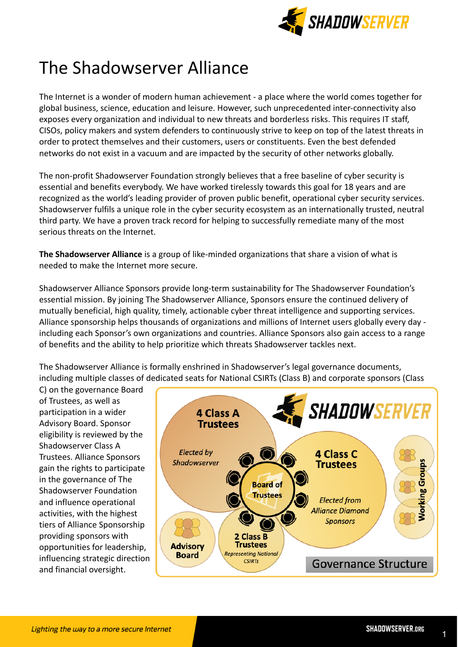

# The Shadowserver Alliance

The Internet is a wonder of modern human achievement - a place where the world comes together for global business, science, education and leisure. However, such unprecedented inter-connectivity also exposes every organization and individual to new threats and borderless risks. This requires IT staff, CISOs, policy makers and system defenders to continuously strive to keep on top of the latest threats in order to protect themselves and their customers, users or constituents. Even the best defended networks do not exist in a vacuum and are impacted by the security of other networks globally.

The non-profit Shadowserver Foundation strongly believes that a free baseline of cyber security is essential and benefits everybody. We have worked tirelessly towards this goal for 18 years and are recognized as the world's leading provider of proven public benefit, operational cyber security services. Shadowserver fulfils a unique role in the cyber security ecosystem as an internationally trusted, neutral third party. We have a proven track record for helping to successfully remediate many of the most serious threats on the Internet.

**The Shadowserver Alliance** is a group of like-minded organizations that share a vision of what is needed to make the Internet more secure.

Shadowserver Alliance Sponsors provide long-term sustainability for The Shadowserver Foundation's essential mission. By joining The Shadowserver Alliance, Sponsors ensure the continued delivery of mutually beneficial, high quality, timely, actionable cyber threat intelligence and supporting services. Alliance sponsorship helps thousands of organizations and millions of Internet users globally every day including each Sponsor's own organizations and countries. Alliance Sponsors also gain access to a range of benefits and the ability to help prioritize which threats Shadowserver tackles next.

The Shadowserver Alliance is formally enshrined in Shadowserver's legal governance documents, including multiple classes of dedicated seats for National CSIRTs (Class B) and corporate sponsors (Class

C) on the governance Board of Trustees, as well as participation in a wider Advisory Board. Sponsor eligibility is reviewed by the Shadowserver Class A Trustees. Alliance Sponsors gain the rights to participate in the governance of The Shadowserver Foundation and influence operational activities, with the highest tiers of Alliance Sponsorship providing sponsors with opportunities for leadership, influencing strategic direction and financial oversight.

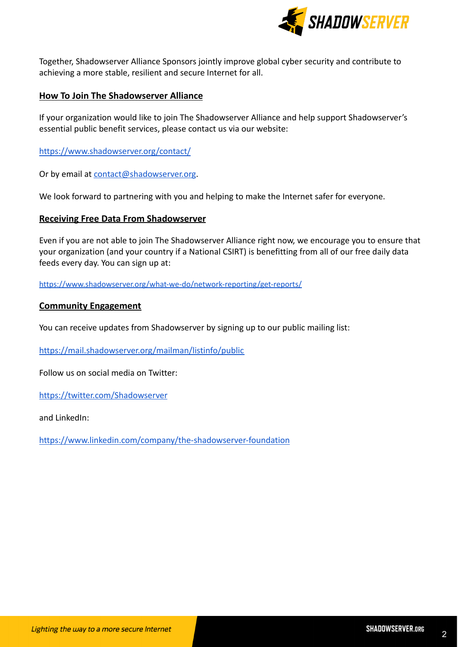

Together, Shadowserver Alliance Sponsors jointly improve global cyber security and contribute to achieving a more stable, resilient and secure Internet for all.

### **How To Join The Shadowserver Alliance**

If your organization would like to join The Shadowserver Alliance and help support Shadowserver's essential public benefit services, please contact us via our website:

<https://www.shadowserver.org/contact/>

Or by email at [contact@shadowserver.org](mailto:contact@shadowserver.org).

We look forward to partnering with you and helping to make the Internet safer for everyone.

#### **Receiving Free Data From Shadowserver**

Even if you are not able to join The Shadowserver Alliance right now, we encourage you to ensure that your organization (and your country if a National CSIRT) is benefitting from all of our free daily data feeds every day. You can sign up at:

<https://www.shadowserver.org/what-we-do/network-reporting/get-reports/>

#### **Community Engagement**

You can receive updates from Shadowserver by signing up to our public mailing list:

<https://mail.shadowserver.org/mailman/listinfo/public>

Follow us on social media on Twitter:

<https://twitter.com/Shadowserver>

and LinkedIn:

<https://www.linkedin.com/company/the-shadowserver-foundation>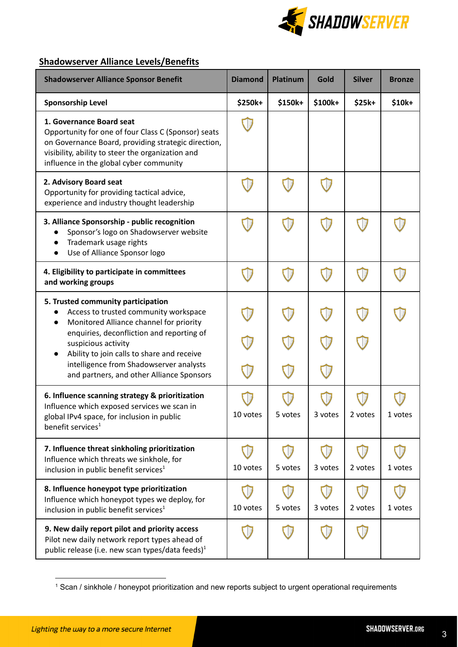

## **Shadowserver Alliance Levels/Benefits**

| <b>Shadowserver Alliance Sponsor Benefit</b>                                                                                                                                                                                           | <b>Diamond</b> | <b>Platinum</b> | Gold    | <b>Silver</b> | <b>Bronze</b>  |
|----------------------------------------------------------------------------------------------------------------------------------------------------------------------------------------------------------------------------------------|----------------|-----------------|---------|---------------|----------------|
| <b>Sponsorship Level</b>                                                                                                                                                                                                               | \$250k+        | \$150k+         | \$100k+ | $$25k+$       | $$10k+$        |
| 1. Governance Board seat<br>Opportunity for one of four Class C (Sponsor) seats<br>on Governance Board, providing strategic direction,<br>visibility, ability to steer the organization and<br>influence in the global cyber community |                |                 |         |               |                |
| 2. Advisory Board seat<br>Opportunity for providing tactical advice,<br>experience and industry thought leadership                                                                                                                     |                |                 |         |               |                |
| 3. Alliance Sponsorship - public recognition<br>Sponsor's logo on Shadowserver website<br>Trademark usage rights<br>Use of Alliance Sponsor logo                                                                                       |                |                 |         |               |                |
| 4. Eligibility to participate in committees<br>and working groups                                                                                                                                                                      |                |                 |         |               |                |
| 5. Trusted community participation<br>Access to trusted community workspace<br>Monitored Alliance channel for priority                                                                                                                 |                |                 |         |               |                |
| enquiries, deconfliction and reporting of<br>suspicious activity<br>Ability to join calls to share and receive                                                                                                                         |                |                 |         |               |                |
| intelligence from Shadowserver analysts<br>and partners, and other Alliance Sponsors                                                                                                                                                   |                |                 |         |               |                |
| 6. Influence scanning strategy & prioritization<br>Influence which exposed services we scan in<br>global IPv4 space, for inclusion in public<br>benefit services <sup>1</sup>                                                          | 10 votes       | ວ votes         | 3 vutes | z voles       | <b>T</b> AOLE2 |
| 7. Influence threat sinkholing prioritization<br>Influence which threats we sinkhole, for<br>inclusion in public benefit services <sup>1</sup>                                                                                         | 10 votes       | 5 votes         | 3 votes | 2 votes       | 1 votes        |
| 8. Influence honeypot type prioritization<br>Influence which honeypot types we deploy, for<br>inclusion in public benefit services <sup>1</sup>                                                                                        | 10 votes       | 5 votes         | 3 votes | 2 votes       | 1 votes        |
| 9. New daily report pilot and priority access<br>Pilot new daily network report types ahead of<br>public release (i.e. new scan types/data feeds) <sup>1</sup>                                                                         |                |                 |         |               |                |

<sup>1</sup> Scan / sinkhole / honeypot prioritization and new reports subject to urgent operational requirements